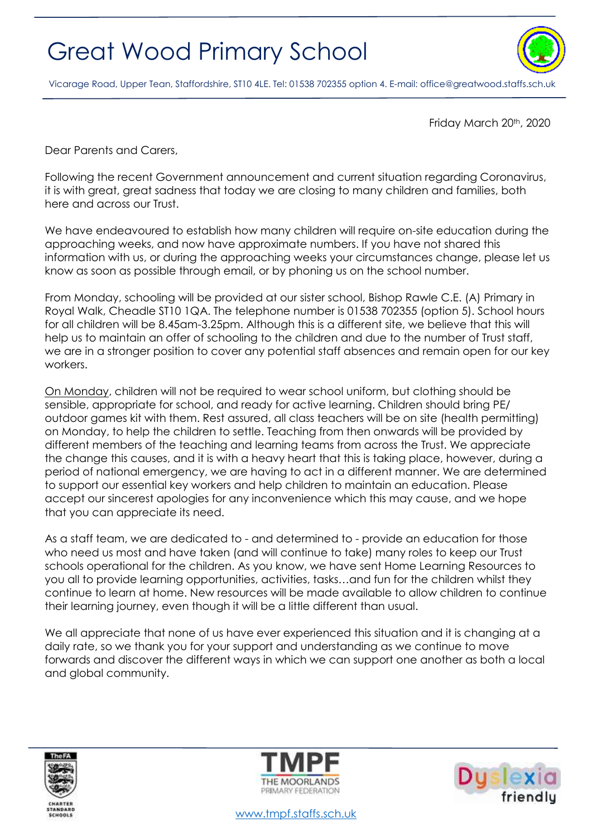## Great Wood Primary School



Vicarage Road, Upper Tean, Staffordshire, ST10 4LE. Tel: 01538 702355 option 4. E-mail[: office@greatwood.staffs.sch.uk](mailto:office@greatwood.staffs.sch.uk)

Friday March 20<sup>th</sup>, 2020

Dear Parents and Carers,

Following the recent Government announcement and current situation regarding Coronavirus, it is with great, great sadness that today we are closing to many children and families, both here and across our Trust.

We have endeavoured to establish how many children will require on-site education during the approaching weeks, and now have approximate numbers. If you have not shared this information with us, or during the approaching weeks your circumstances change, please let us know as soon as possible through email, or by phoning us on the school number.

From Monday, schooling will be provided at our sister school, Bishop Rawle C.E. (A) Primary in Royal Walk, Cheadle ST10 1QA. The telephone number is 01538 702355 (option 5). School hours for all children will be 8.45am-3.25pm. Although this is a different site, we believe that this will help us to maintain an offer of schooling to the children and due to the number of Trust staff, we are in a stronger position to cover any potential staff absences and remain open for our key workers.

On Monday, children will not be required to wear school uniform, but clothing should be sensible, appropriate for school, and ready for active learning. Children should bring PE/ outdoor games kit with them. Rest assured, all class teachers will be on site (health permitting) on Monday, to help the children to settle. Teaching from then onwards will be provided by different members of the teaching and learning teams from across the Trust. We appreciate the change this causes, and it is with a heavy heart that this is taking place, however, during a period of national emergency, we are having to act in a different manner. We are determined to support our essential key workers and help children to maintain an education. Please accept our sincerest apologies for any inconvenience which this may cause, and we hope that you can appreciate its need.

As a staff team, we are dedicated to - and determined to - provide an education for those who need us most and have taken (and will continue to take) many roles to keep our Trust schools operational for the children. As you know, we have sent Home Learning Resources to you all to provide learning opportunities, activities, tasks…and fun for the children whilst they continue to learn at home. New resources will be made available to allow children to continue their learning journey, even though it will be a little different than usual.

We all appreciate that none of us have ever experienced this situation and it is changing at a daily rate, so we thank you for your support and understanding as we continue to move forwards and discover the different ways in which we can support one another as both a local and global community.